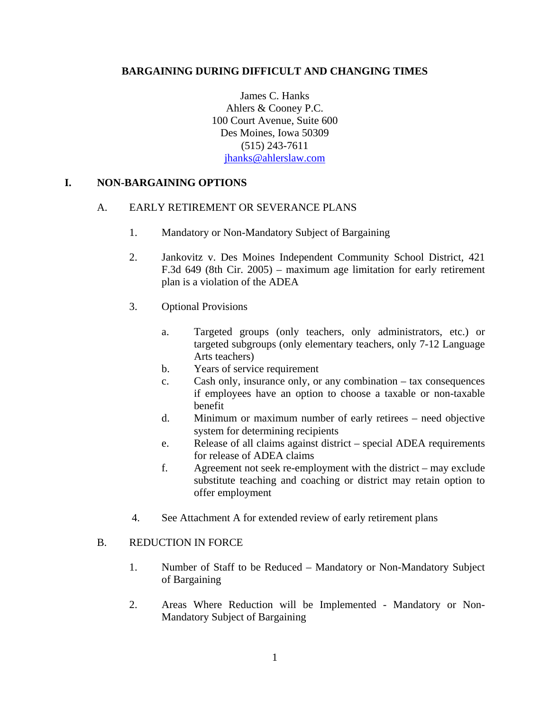## **BARGAINING DURING DIFFICULT AND CHANGING TIMES**

James C. Hanks Ahlers & Cooney P.C. 100 Court Avenue, Suite 600 Des Moines, Iowa 50309 (515) 243-7611 jhanks@ahlerslaw.com

### **I. NON-BARGAINING OPTIONS**

### A. EARLY RETIREMENT OR SEVERANCE PLANS

- 1. Mandatory or Non-Mandatory Subject of Bargaining
- 2. Jankovitz v. Des Moines Independent Community School District, 421 F.3d 649 (8th Cir. 2005) – maximum age limitation for early retirement plan is a violation of the ADEA
- 3. Optional Provisions
	- a. Targeted groups (only teachers, only administrators, etc.) or targeted subgroups (only elementary teachers, only 7-12 Language Arts teachers)
	- b. Years of service requirement
	- c. Cash only, insurance only, or any combination tax consequences if employees have an option to choose a taxable or non-taxable benefit
	- d. Minimum or maximum number of early retirees need objective system for determining recipients
	- e. Release of all claims against district special ADEA requirements for release of ADEA claims
	- f. Agreement not seek re-employment with the district may exclude substitute teaching and coaching or district may retain option to offer employment
- 4. See Attachment A for extended review of early retirement plans

### B. REDUCTION IN FORCE

- 1. Number of Staff to be Reduced Mandatory or Non-Mandatory Subject of Bargaining
- 2. Areas Where Reduction will be Implemented Mandatory or Non-Mandatory Subject of Bargaining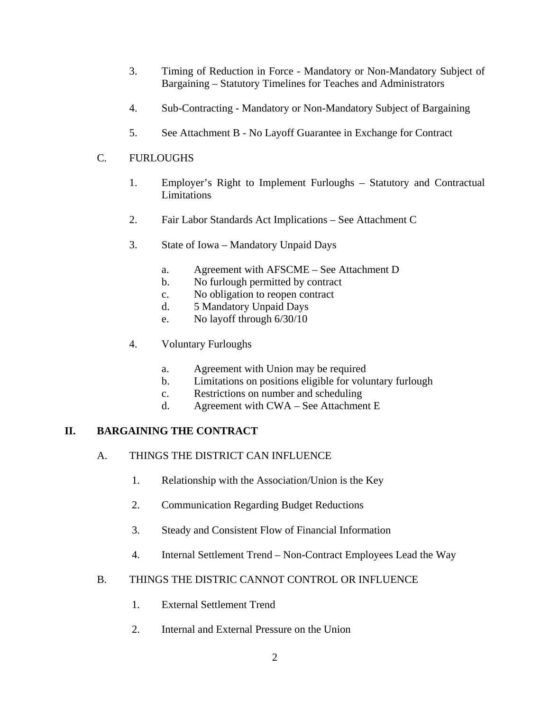- 3. Timing of Reduction in Force Mandatory or Non-Mandatory Subject of Bargaining – Statutory Timelines for Teaches and Administrators
- 4. Sub-Contracting Mandatory or Non-Mandatory Subject of Bargaining
- 5. See Attachment B No Layoff Guarantee in Exchange for Contract

# C. FURLOUGHS

- 1. Employer's Right to Implement Furloughs Statutory and Contractual Limitations
- 2. Fair Labor Standards Act Implications See Attachment C
- 3. State of Iowa Mandatory Unpaid Days
	- a. Agreement with AFSCME See Attachment D
	- b. No furlough permitted by contract
	- c. No obligation to reopen contract
	- d. 5 Mandatory Unpaid Days
	- e. No layoff through 6/30/10
- 4. Voluntary Furloughs
	- a. Agreement with Union may be required
	- b. Limitations on positions eligible for voluntary furlough
	- c. Restrictions on number and scheduling
	- d. Agreement with CWA See Attachment E

# **II. BARGAINING THE CONTRACT**

- A. THINGS THE DISTRICT CAN INFLUENCE
	- 1. Relationship with the Association/Union is the Key
	- 2. Communication Regarding Budget Reductions
	- 3. Steady and Consistent Flow of Financial Information
	- 4. Internal Settlement Trend Non-Contract Employees Lead the Way

# B. THINGS THE DISTRIC CANNOT CONTROL OR INFLUENCE

- 1. External Settlement Trend
- 2. Internal and External Pressure on the Union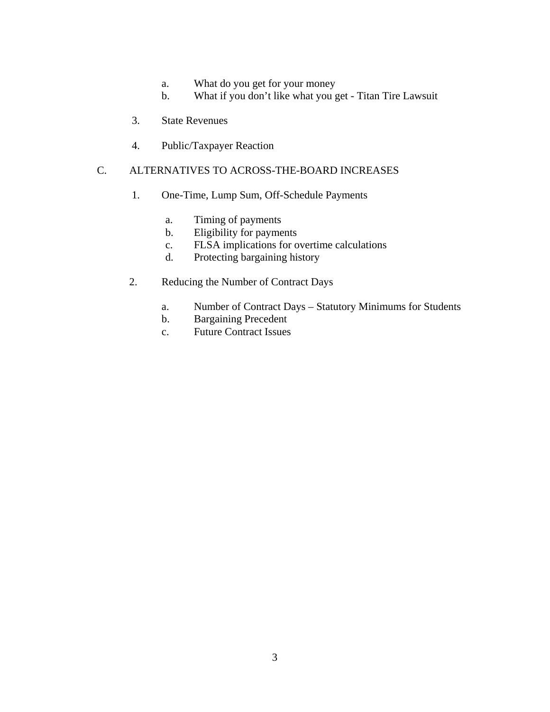- a. What do you get for your money
- b. What if you don't like what you get Titan Tire Lawsuit
- 3. State Revenues
- 4. Public/Taxpayer Reaction

# C. ALTERNATIVES TO ACROSS-THE-BOARD INCREASES

- 1. One-Time, Lump Sum, Off-Schedule Payments
	- a. Timing of payments
	- b. Eligibility for payments
	- c. FLSA implications for overtime calculations
	- d. Protecting bargaining history
- 2. Reducing the Number of Contract Days
	- a. Number of Contract Days Statutory Minimums for Students
	- b. Bargaining Precedent
	- c. Future Contract Issues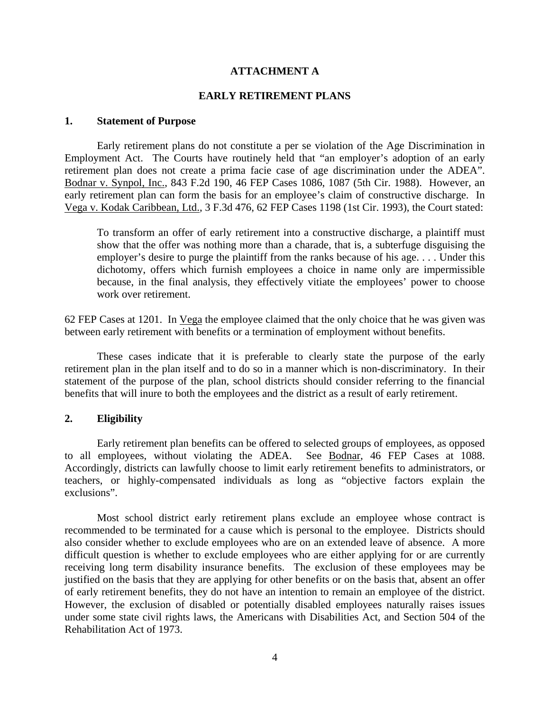### **ATTACHMENT A**

#### **EARLY RETIREMENT PLANS**

### **1. Statement of Purpose**

 Early retirement plans do not constitute a per se violation of the Age Discrimination in Employment Act. The Courts have routinely held that "an employer's adoption of an early retirement plan does not create a prima facie case of age discrimination under the ADEA". Bodnar v. Synpol, Inc., 843 F.2d 190, 46 FEP Cases 1086, 1087 (5th Cir. 1988). However, an early retirement plan can form the basis for an employee's claim of constructive discharge. In Vega v. Kodak Caribbean, Ltd., 3 F.3d 476, 62 FEP Cases 1198 (1st Cir. 1993), the Court stated:

To transform an offer of early retirement into a constructive discharge, a plaintiff must show that the offer was nothing more than a charade, that is, a subterfuge disguising the employer's desire to purge the plaintiff from the ranks because of his age. . . . Under this dichotomy, offers which furnish employees a choice in name only are impermissible because, in the final analysis, they effectively vitiate the employees' power to choose work over retirement.

62 FEP Cases at 1201. In Vega the employee claimed that the only choice that he was given was between early retirement with benefits or a termination of employment without benefits.

 These cases indicate that it is preferable to clearly state the purpose of the early retirement plan in the plan itself and to do so in a manner which is non-discriminatory. In their statement of the purpose of the plan, school districts should consider referring to the financial benefits that will inure to both the employees and the district as a result of early retirement.

#### **2. Eligibility**

Early retirement plan benefits can be offered to selected groups of employees, as opposed employees, without violating the ADEA. See Bodnar, 46 FEP Cases at 1088. to all employees, without violating the ADEA. Accordingly, districts can lawfully choose to limit early retirement benefits to administrators, or teachers, or highly-compensated individuals as long as "objective factors explain the exclusions".

 Most school district early retirement plans exclude an employee whose contract is recommended to be terminated for a cause which is personal to the employee. Districts should also consider whether to exclude employees who are on an extended leave of absence. A more difficult question is whether to exclude employees who are either applying for or are currently receiving long term disability insurance benefits. The exclusion of these employees may be justified on the basis that they are applying for other benefits or on the basis that, absent an offer of early retirement benefits, they do not have an intention to remain an employee of the district. However, the exclusion of disabled or potentially disabled employees naturally raises issues under some state civil rights laws, the Americans with Disabilities Act, and Section 504 of the Rehabilitation Act of 1973.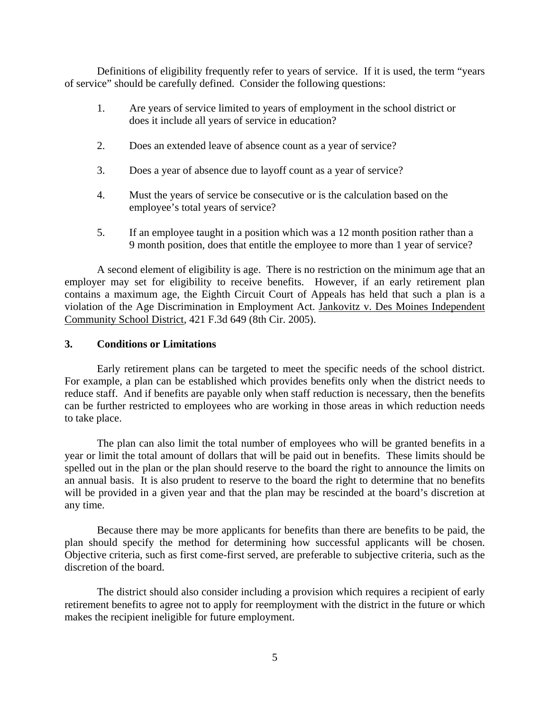Definitions of eligibility frequently refer to years of service. If it is used, the term "years of service" should be carefully defined. Consider the following questions:

- 1. Are years of service limited to years of employment in the school district or does it include all years of service in education?
- 2. Does an extended leave of absence count as a year of service?
- 3. Does a year of absence due to layoff count as a year of service?
- 4. Must the years of service be consecutive or is the calculation based on the employee's total years of service?
- 5. If an employee taught in a position which was a 12 month position rather than a 9 month position, does that entitle the employee to more than 1 year of service?

 A second element of eligibility is age. There is no restriction on the minimum age that an employer may set for eligibility to receive benefits. However, if an early retirement plan contains a maximum age, the Eighth Circuit Court of Appeals has held that such a plan is a violation of the Age Discrimination in Employment Act. Jankovitz v. Des Moines Independent Community School District, 421 F.3d 649 (8th Cir. 2005).

#### **3. Conditions or Limitations**

Early retirement plans can be targeted to meet the specific needs of the school district. For example, a plan can be established which provides benefits only when the district needs to reduce staff. And if benefits are payable only when staff reduction is necessary, then the benefits can be further restricted to employees who are working in those areas in which reduction needs to take place.

 The plan can also limit the total number of employees who will be granted benefits in a year or limit the total amount of dollars that will be paid out in benefits. These limits should be spelled out in the plan or the plan should reserve to the board the right to announce the limits on an annual basis. It is also prudent to reserve to the board the right to determine that no benefits will be provided in a given year and that the plan may be rescinded at the board's discretion at any time.

 Because there may be more applicants for benefits than there are benefits to be paid, the plan should specify the method for determining how successful applicants will be chosen. Objective criteria, such as first come-first served, are preferable to subjective criteria, such as the discretion of the board.

 The district should also consider including a provision which requires a recipient of early retirement benefits to agree not to apply for reemployment with the district in the future or which makes the recipient ineligible for future employment.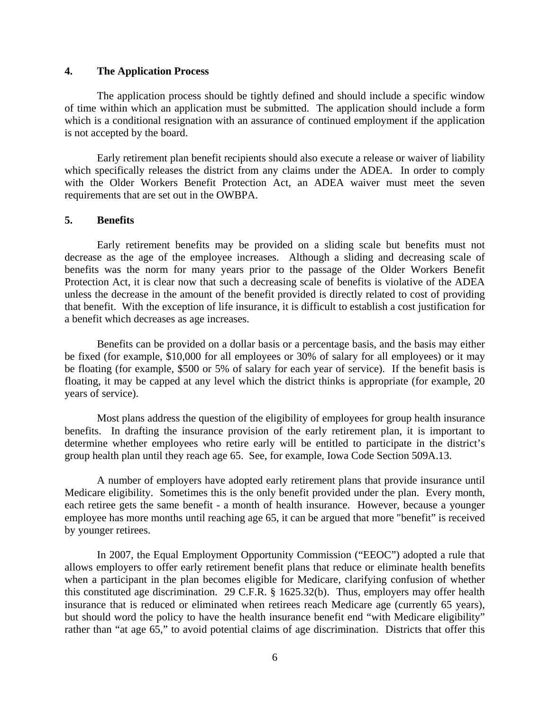### **4. The Application Process**

The application process should be tightly defined and should include a specific window of time within which an application must be submitted. The application should include a form which is a conditional resignation with an assurance of continued employment if the application is not accepted by the board.

 Early retirement plan benefit recipients should also execute a release or waiver of liability which specifically releases the district from any claims under the ADEA. In order to comply with the Older Workers Benefit Protection Act, an ADEA waiver must meet the seven requirements that are set out in the OWBPA.

#### **5. Benefits**

Early retirement benefits may be provided on a sliding scale but benefits must not decrease as the age of the employee increases. Although a sliding and decreasing scale of benefits was the norm for many years prior to the passage of the Older Workers Benefit Protection Act, it is clear now that such a decreasing scale of benefits is violative of the ADEA unless the decrease in the amount of the benefit provided is directly related to cost of providing that benefit. With the exception of life insurance, it is difficult to establish a cost justification for a benefit which decreases as age increases.

 Benefits can be provided on a dollar basis or a percentage basis, and the basis may either be fixed (for example, \$10,000 for all employees or 30% of salary for all employees) or it may be floating (for example, \$500 or 5% of salary for each year of service). If the benefit basis is floating, it may be capped at any level which the district thinks is appropriate (for example, 20 years of service).

 Most plans address the question of the eligibility of employees for group health insurance benefits. In drafting the insurance provision of the early retirement plan, it is important to determine whether employees who retire early will be entitled to participate in the district's group health plan until they reach age 65. See, for example, Iowa Code Section 509A.13.

 A number of employers have adopted early retirement plans that provide insurance until Medicare eligibility. Sometimes this is the only benefit provided under the plan. Every month, each retiree gets the same benefit - a month of health insurance. However, because a younger employee has more months until reaching age 65, it can be argued that more "benefit" is received by younger retirees.

 In 2007, the Equal Employment Opportunity Commission ("EEOC") adopted a rule that allows employers to offer early retirement benefit plans that reduce or eliminate health benefits when a participant in the plan becomes eligible for Medicare, clarifying confusion of whether this constituted age discrimination. 29 C.F.R. § 1625.32(b). Thus, employers may offer health insurance that is reduced or eliminated when retirees reach Medicare age (currently 65 years), but should word the policy to have the health insurance benefit end "with Medicare eligibility" rather than "at age 65," to avoid potential claims of age discrimination. Districts that offer this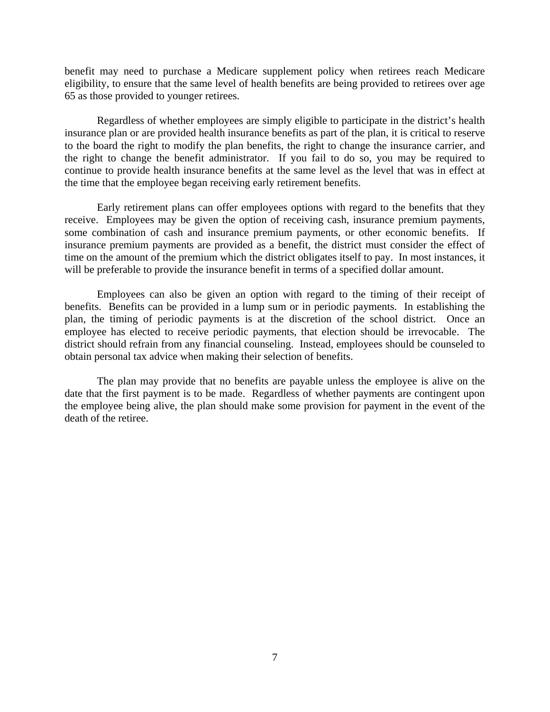benefit may need to purchase a Medicare supplement policy when retirees reach Medicare eligibility, to ensure that the same level of health benefits are being provided to retirees over age 65 as those provided to younger retirees.

 Regardless of whether employees are simply eligible to participate in the district's health insurance plan or are provided health insurance benefits as part of the plan, it is critical to reserve to the board the right to modify the plan benefits, the right to change the insurance carrier, and the right to change the benefit administrator. If you fail to do so, you may be required to continue to provide health insurance benefits at the same level as the level that was in effect at the time that the employee began receiving early retirement benefits.

 Early retirement plans can offer employees options with regard to the benefits that they receive. Employees may be given the option of receiving cash, insurance premium payments, some combination of cash and insurance premium payments, or other economic benefits. If insurance premium payments are provided as a benefit, the district must consider the effect of time on the amount of the premium which the district obligates itself to pay. In most instances, it will be preferable to provide the insurance benefit in terms of a specified dollar amount.

 Employees can also be given an option with regard to the timing of their receipt of benefits. Benefits can be provided in a lump sum or in periodic payments. In establishing the plan, the timing of periodic payments is at the discretion of the school district. Once an employee has elected to receive periodic payments, that election should be irrevocable. The district should refrain from any financial counseling. Instead, employees should be counseled to obtain personal tax advice when making their selection of benefits.

 The plan may provide that no benefits are payable unless the employee is alive on the date that the first payment is to be made. Regardless of whether payments are contingent upon the employee being alive, the plan should make some provision for payment in the event of the death of the retiree.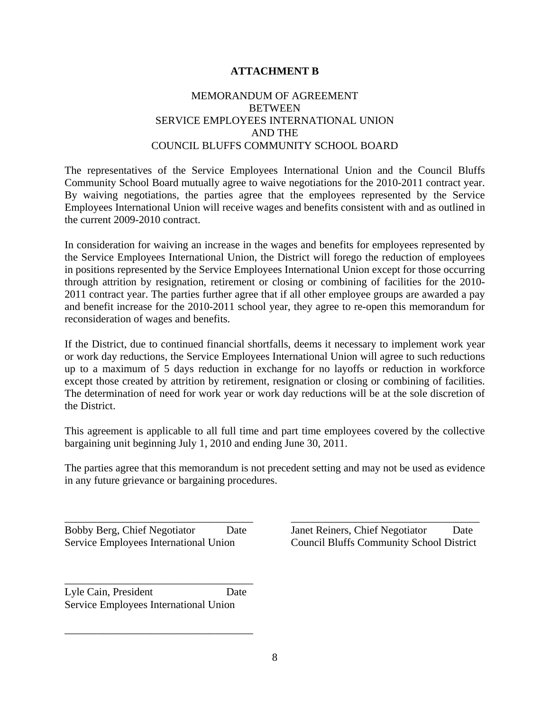## **ATTACHMENT B**

## MEMORANDUM OF AGREEMENT **BETWEEN** SERVICE EMPLOYEES INTERNATIONAL UNION AND THE COUNCIL BLUFFS COMMUNITY SCHOOL BOARD

The representatives of the Service Employees International Union and the Council Bluffs Community School Board mutually agree to waive negotiations for the 2010-2011 contract year. By waiving negotiations, the parties agree that the employees represented by the Service Employees International Union will receive wages and benefits consistent with and as outlined in the current 2009-2010 contract.

In consideration for waiving an increase in the wages and benefits for employees represented by the Service Employees International Union, the District will forego the reduction of employees in positions represented by the Service Employees International Union except for those occurring through attrition by resignation, retirement or closing or combining of facilities for the 2010- 2011 contract year. The parties further agree that if all other employee groups are awarded a pay and benefit increase for the 2010-2011 school year, they agree to re-open this memorandum for reconsideration of wages and benefits.

If the District, due to continued financial shortfalls, deems it necessary to implement work year or work day reductions, the Service Employees International Union will agree to such reductions up to a maximum of 5 days reduction in exchange for no layoffs or reduction in workforce except those created by attrition by retirement, resignation or closing or combining of facilities. The determination of need for work year or work day reductions will be at the sole discretion of the District.

This agreement is applicable to all full time and part time employees covered by the collective bargaining unit beginning July 1, 2010 and ending June 30, 2011.

The parties agree that this memorandum is not precedent setting and may not be used as evidence in any future grievance or bargaining procedures.

Lyle Cain, President Date Service Employees International Union

\_\_\_\_\_\_\_\_\_\_\_\_\_\_\_\_\_\_\_\_\_\_\_\_\_\_\_\_\_\_\_\_\_\_\_

\_\_\_\_\_\_\_\_\_\_\_\_\_\_\_\_\_\_\_\_\_\_\_\_\_\_\_\_\_\_\_\_\_\_\_

\_\_\_\_\_\_\_\_\_\_\_\_\_\_\_\_\_\_\_\_\_\_\_\_\_\_\_\_\_\_\_\_\_\_\_ \_\_\_\_\_\_\_\_\_\_\_\_\_\_\_\_\_\_\_\_\_\_\_\_\_\_\_\_\_\_\_\_\_\_\_ Bobby Berg, Chief Negotiator Date Janet Reiners, Chief Negotiator Date Service Employees International Union Council Bluffs Community School District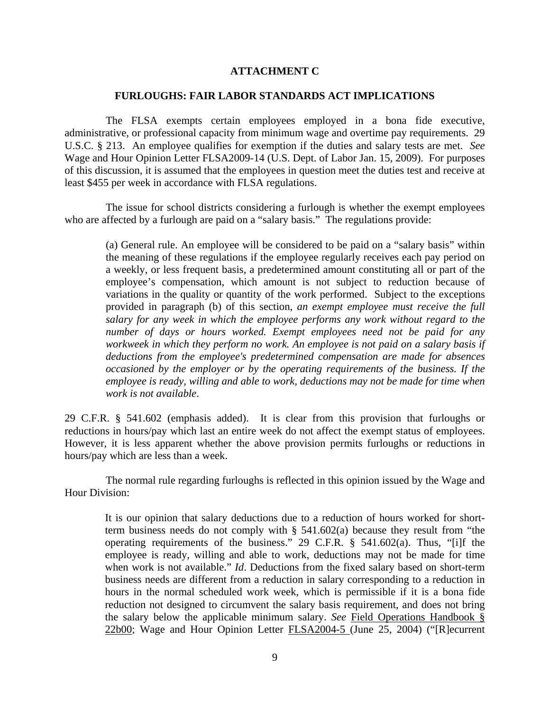### **ATTACHMENT C**

#### **FURLOUGHS: FAIR LABOR STANDARDS ACT IMPLICATIONS**

 The FLSA exempts certain employees employed in a bona fide executive, administrative, or professional capacity from minimum wage and overtime pay requirements. 29 U.S.C. § 213. An employee qualifies for exemption if the duties and salary tests are met. *See*  Wage and Hour Opinion Letter FLSA2009-14 (U.S. Dept. of Labor Jan. 15, 2009). For purposes of this discussion, it is assumed that the employees in question meet the duties test and receive at least \$455 per week in accordance with FLSA regulations.

 The issue for school districts considering a furlough is whether the exempt employees who are affected by a furlough are paid on a "salary basis." The regulations provide:

(a) General rule. An employee will be considered to be paid on a "salary basis" within the meaning of these regulations if the employee regularly receives each pay period on a weekly, or less frequent basis, a predetermined amount constituting all or part of the employee's compensation, which amount is not subject to reduction because of variations in the quality or quantity of the work performed. Subject to the exceptions provided in paragraph (b) of this section, *an exempt employee must receive the full salary for any week in which the employee performs any work without regard to the number of days or hours worked. Exempt employees need not be paid for any workweek in which they perform no work. An employee is not paid on a salary basis if deductions from the employee's predetermined compensation are made for absences occasioned by the employer or by the operating requirements of the business. If the employee is ready, willing and able to work, deductions may not be made for time when work is not available*.

29 C.F.R. § 541.602 (emphasis added). It is clear from this provision that furloughs or reductions in hours/pay which last an entire week do not affect the exempt status of employees. However, it is less apparent whether the above provision permits furloughs or reductions in hours/pay which are less than a week.

 The normal rule regarding furloughs is reflected in this opinion issued by the Wage and Hour Division:

 It is our opinion that salary deductions due to a reduction of hours worked for shortterm business needs do not comply with § 541.602(a) because they result from "the operating requirements of the business." 29 C.F.R. § 541.602(a). Thus, "[i]f the employee is ready, willing and able to work, deductions may not be made for time when work is not available." *Id*. Deductions from the fixed salary based on short-term business needs are different from a reduction in salary corresponding to a reduction in hours in the normal scheduled work week, which is permissible if it is a bona fide reduction not designed to circumvent the salary basis requirement, and does not bring the salary below the applicable minimum salary. *See* Field Operations Handbook § 22b00; Wage and Hour Opinion Letter FLSA2004-5 (June 25, 2004) ("[R]ecurrent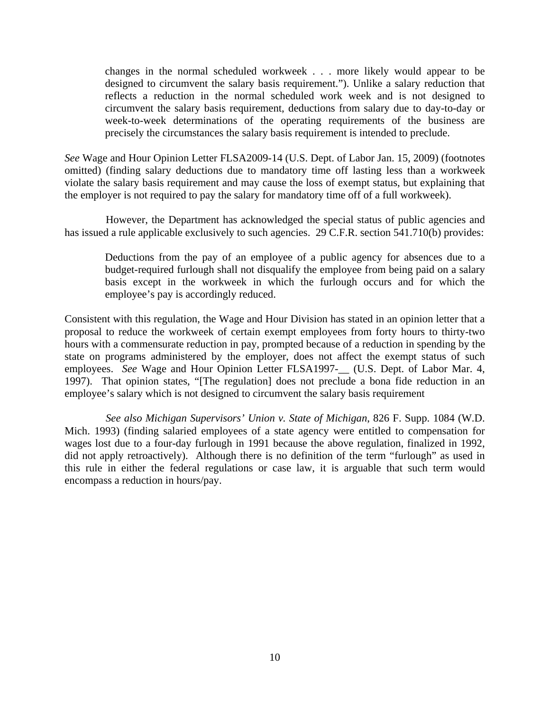changes in the normal scheduled workweek . . . more likely would appear to be designed to circumvent the salary basis requirement."). Unlike a salary reduction that reflects a reduction in the normal scheduled work week and is not designed to circumvent the salary basis requirement, deductions from salary due to day-to-day or week-to-week determinations of the operating requirements of the business are precisely the circumstances the salary basis requirement is intended to preclude.

*See* Wage and Hour Opinion Letter FLSA2009-14 (U.S. Dept. of Labor Jan. 15, 2009) (footnotes omitted) (finding salary deductions due to mandatory time off lasting less than a workweek violate the salary basis requirement and may cause the loss of exempt status, but explaining that the employer is not required to pay the salary for mandatory time off of a full workweek).

 However, the Department has acknowledged the special status of public agencies and has issued a rule applicable exclusively to such agencies. 29 C.F.R. section 541.710(b) provides:

 Deductions from the pay of an employee of a public agency for absences due to a budget-required furlough shall not disqualify the employee from being paid on a salary basis except in the workweek in which the furlough occurs and for which the employee's pay is accordingly reduced.

Consistent with this regulation, the Wage and Hour Division has stated in an opinion letter that a proposal to reduce the workweek of certain exempt employees from forty hours to thirty-two hours with a commensurate reduction in pay, prompted because of a reduction in spending by the state on programs administered by the employer, does not affect the exempt status of such employees. *See* Wage and Hour Opinion Letter FLSA1997-\_\_ (U.S. Dept. of Labor Mar. 4, 1997). That opinion states, "[The regulation] does not preclude a bona fide reduction in an employee's salary which is not designed to circumvent the salary basis requirement

 *See also Michigan Supervisors' Union v. State of Michigan*, 826 F. Supp. 1084 (W.D. Mich. 1993) (finding salaried employees of a state agency were entitled to compensation for wages lost due to a four-day furlough in 1991 because the above regulation, finalized in 1992, did not apply retroactively). Although there is no definition of the term "furlough" as used in this rule in either the federal regulations or case law, it is arguable that such term would encompass a reduction in hours/pay.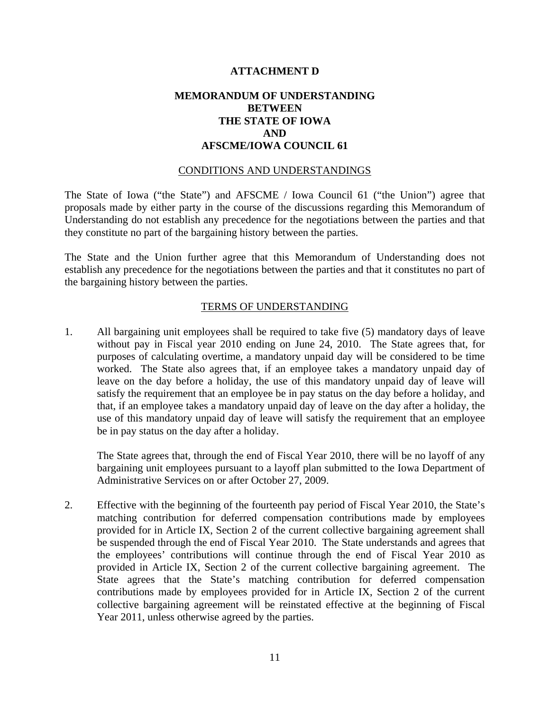### **ATTACHMENT D**

## **MEMORANDUM OF UNDERSTANDING BETWEEN THE STATE OF IOWA AND AFSCME/IOWA COUNCIL 61**

#### CONDITIONS AND UNDERSTANDINGS

The State of Iowa ("the State") and AFSCME / Iowa Council 61 ("the Union") agree that proposals made by either party in the course of the discussions regarding this Memorandum of Understanding do not establish any precedence for the negotiations between the parties and that they constitute no part of the bargaining history between the parties.

The State and the Union further agree that this Memorandum of Understanding does not establish any precedence for the negotiations between the parties and that it constitutes no part of the bargaining history between the parties.

### TERMS OF UNDERSTANDING

1. All bargaining unit employees shall be required to take five (5) mandatory days of leave without pay in Fiscal year 2010 ending on June 24, 2010. The State agrees that, for purposes of calculating overtime, a mandatory unpaid day will be considered to be time worked. The State also agrees that, if an employee takes a mandatory unpaid day of leave on the day before a holiday, the use of this mandatory unpaid day of leave will satisfy the requirement that an employee be in pay status on the day before a holiday, and that, if an employee takes a mandatory unpaid day of leave on the day after a holiday, the use of this mandatory unpaid day of leave will satisfy the requirement that an employee be in pay status on the day after a holiday.

The State agrees that, through the end of Fiscal Year 2010, there will be no layoff of any bargaining unit employees pursuant to a layoff plan submitted to the Iowa Department of Administrative Services on or after October 27, 2009.

2. Effective with the beginning of the fourteenth pay period of Fiscal Year 2010, the State's matching contribution for deferred compensation contributions made by employees provided for in Article IX, Section 2 of the current collective bargaining agreement shall be suspended through the end of Fiscal Year 2010. The State understands and agrees that the employees' contributions will continue through the end of Fiscal Year 2010 as provided in Article IX, Section 2 of the current collective bargaining agreement. The State agrees that the State's matching contribution for deferred compensation contributions made by employees provided for in Article IX, Section 2 of the current collective bargaining agreement will be reinstated effective at the beginning of Fiscal Year 2011, unless otherwise agreed by the parties.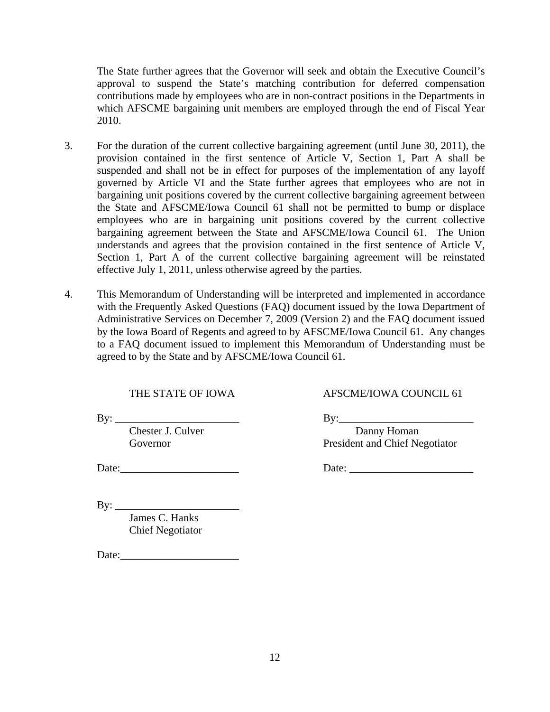The State further agrees that the Governor will seek and obtain the Executive Council's approval to suspend the State's matching contribution for deferred compensation contributions made by employees who are in non-contract positions in the Departments in which AFSCME bargaining unit members are employed through the end of Fiscal Year 2010.

- 3. For the duration of the current collective bargaining agreement (until June 30, 2011), the provision contained in the first sentence of Article V, Section 1, Part A shall be suspended and shall not be in effect for purposes of the implementation of any layoff governed by Article VI and the State further agrees that employees who are not in bargaining unit positions covered by the current collective bargaining agreement between the State and AFSCME/Iowa Council 61 shall not be permitted to bump or displace employees who are in bargaining unit positions covered by the current collective bargaining agreement between the State and AFSCME/Iowa Council 61. The Union understands and agrees that the provision contained in the first sentence of Article V, Section 1, Part A of the current collective bargaining agreement will be reinstated effective July 1, 2011, unless otherwise agreed by the parties.
- 4. This Memorandum of Understanding will be interpreted and implemented in accordance with the Frequently Asked Questions (FAQ) document issued by the Iowa Department of Administrative Services on December 7, 2009 (Version 2) and the FAQ document issued by the Iowa Board of Regents and agreed to by AFSCME/Iowa Council 61. Any changes to a FAQ document issued to implement this Memorandum of Understanding must be agreed to by the State and by AFSCME/Iowa Council 61.

THE STATE OF IOWA AFSCME/IOWA COUNCIL 61

 $\text{By:}\_$ 

 $\mathbf{By:}$ 

 James C. Hanks Chief Negotiator

Date:

Chester J. Culver Danny Homan Governor President and Chief Negotiator

Date:\_\_\_\_\_\_\_\_\_\_\_\_\_\_\_\_\_\_\_\_\_\_ Date: \_\_\_\_\_\_\_\_\_\_\_\_\_\_\_\_\_\_\_\_\_\_\_